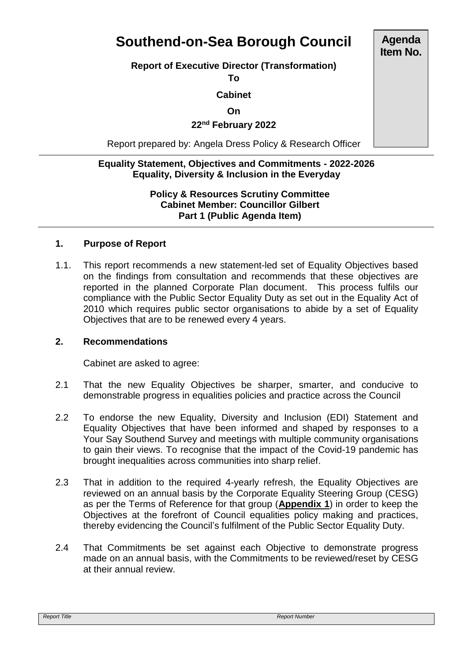# **Southend-on-Sea Borough Council**

# **Report of Executive Director (Transformation)**

**To**

## **Cabinet**

#### **On**

# **22nd February 2022**

Report prepared by: Angela Dress Policy & Research Officer

## **Equality Statement, Objectives and Commitments - 2022-2026 Equality, Diversity & Inclusion in the Everyday**

#### **Policy & Resources Scrutiny Committee Cabinet Member: Councillor Gilbert Part 1 (Public Agenda Item)**

# **1. Purpose of Report**

1.1. This report recommends a new statement-led set of Equality Objectives based on the findings from consultation and recommends that these objectives are reported in the planned Corporate Plan document. This process fulfils our compliance with the Public Sector Equality Duty as set out in the Equality Act of 2010 which requires public sector organisations to abide by a set of Equality Objectives that are to be renewed every 4 years.

#### **2. Recommendations**

Cabinet are asked to agree:

- 2.1 That the new Equality Objectives be sharper, smarter, and conducive to demonstrable progress in equalities policies and practice across the Council
- 2.2 To endorse the new Equality, Diversity and Inclusion (EDI) Statement and Equality Objectives that have been informed and shaped by responses to a Your Say Southend Survey and meetings with multiple community organisations to gain their views. To recognise that the impact of the Covid-19 pandemic has brought inequalities across communities into sharp relief.
- 2.3 That in addition to the required 4-yearly refresh, the Equality Objectives are reviewed on an annual basis by the Corporate Equality Steering Group (CESG) as per the Terms of Reference for that group (**Appendix 1**) in order to keep the Objectives at the forefront of Council equalities policy making and practices, thereby evidencing the Council's fulfilment of the Public Sector Equality Duty.
- 2.4 That Commitments be set against each Objective to demonstrate progress made on an annual basis, with the Commitments to be reviewed/reset by CESG at their annual review.

**Agenda Item No.**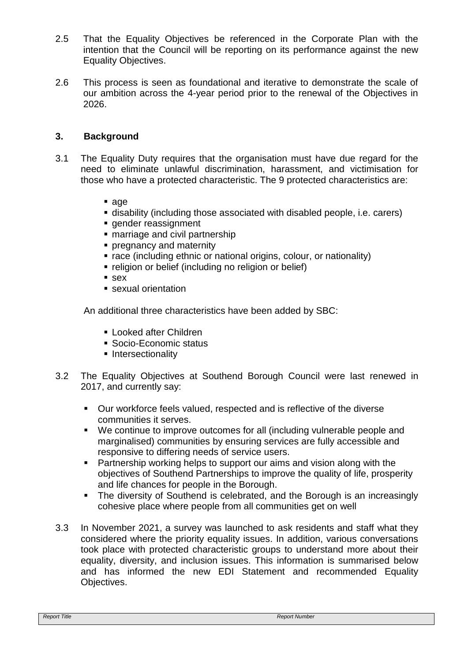- 2.5 That the Equality Objectives be referenced in the Corporate Plan with the intention that the Council will be reporting on its performance against the new Equality Objectives.
- 2.6 This process is seen as foundational and iterative to demonstrate the scale of our ambition across the 4-year period prior to the renewal of the Objectives in 2026.

## **3. Background**

- 3.1 The Equality Duty requires that the organisation must have due regard for the need to eliminate unlawful discrimination, harassment, and victimisation for those who have a protected characteristic. The 9 protected characteristics are:
	- age
	- disability (including those associated with disabled people, i.e. carers)
	- **gender reassignment**
	- marriage and civil partnership
	- **Performancy and maternity**
	- **Trace (including ethnic or national origins, colour, or nationality)**
	- **religion or belief (including no religion or belief)**
	- sex
	- sexual orientation

An additional three characteristics have been added by SBC:

- **Looked after Children**
- Socio-Economic status
- **Intersectionality**
- 3.2 The Equality Objectives at Southend Borough Council were last renewed in 2017, and currently say:
	- Our workforce feels valued, respected and is reflective of the diverse communities it serves.
	- We continue to improve outcomes for all (including vulnerable people and marginalised) communities by ensuring services are fully accessible and responsive to differing needs of service users.
	- **Partnership working helps to support our aims and vision along with the** objectives of Southend Partnerships to improve the quality of life, prosperity and life chances for people in the Borough.
	- The diversity of Southend is celebrated, and the Borough is an increasingly cohesive place where people from all communities get on well
- 3.3 In November 2021, a survey was launched to ask residents and staff what they considered where the priority equality issues. In addition, various conversations took place with protected characteristic groups to understand more about their equality, diversity, and inclusion issues. This information is summarised below and has informed the new EDI Statement and recommended Equality Objectives.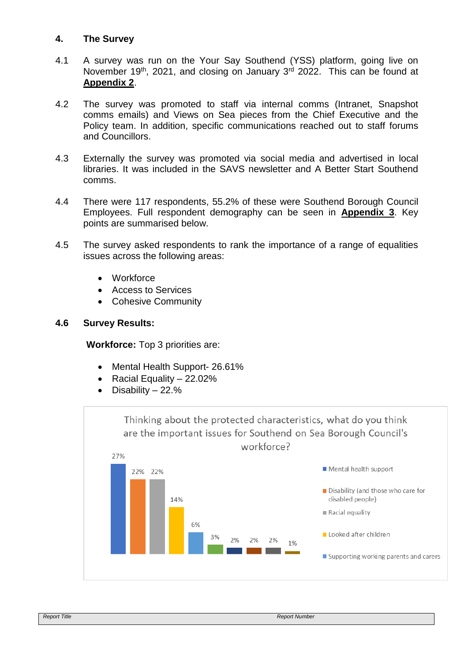## **4. The Survey**

- 4.1 A survey was run on the Your Say Southend (YSS) platform, going live on November 19<sup>th</sup>, 2021, and closing on January 3<sup>rd</sup> 2022. This can be found at **Appendix 2**.
- 4.2 The survey was promoted to staff via internal comms (Intranet, Snapshot comms emails) and Views on Sea pieces from the Chief Executive and the Policy team. In addition, specific communications reached out to staff forums and Councillors.
- 4.3 Externally the survey was promoted via social media and advertised in local libraries. It was included in the SAVS newsletter and A Better Start Southend comms.
- 4.4 There were 117 respondents, 55.2% of these were Southend Borough Council Employees. Full respondent demography can be seen in **Appendix 3**. Key points are summarised below.
- 4.5 The survey asked respondents to rank the importance of a range of equalities issues across the following areas:
	- **Workforce**
	- Access to Services
	- Cohesive Community

#### **4.6 Survey Results:**

**Workforce:** Top 3 priorities are:

- Mental Health Support- 26.61%
- Racial Equality  $-22.02\%$
- Disability 22.%

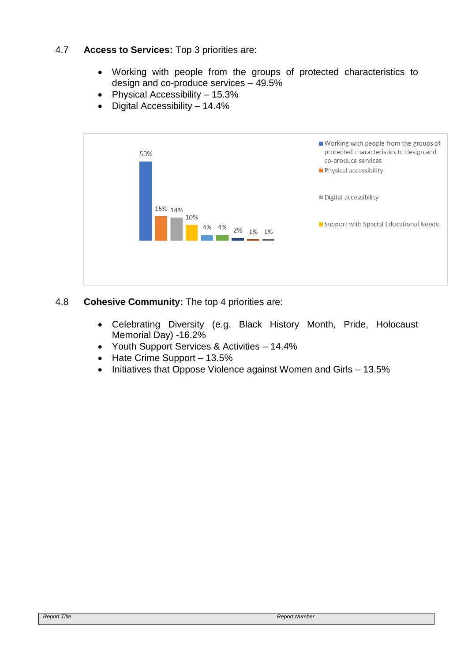# 4.7 **Access to Services:** Top 3 priorities are:

- Working with people from the groups of protected characteristics to design and co-produce services – 49.5%
- Physical Accessibility 15.3%
- Digital Accessibility 14.4%



# 4.8 **Cohesive Community:** The top 4 priorities are:

- Celebrating Diversity (e.g. Black History Month, Pride, Holocaust Memorial Day) -16.2%
- Youth Support Services & Activities 14.4%
- Hate Crime Support 13.5%
- Initiatives that Oppose Violence against Women and Girls 13.5%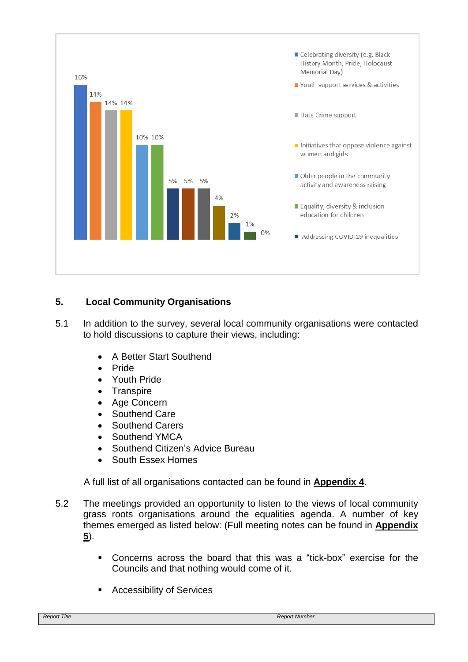

# **5. Local Community Organisations**

- 5.1 In addition to the survey, several local community organisations were contacted to hold discussions to capture their views, including:
	- A Better Start Southend
	- Pride
	- Youth Pride
	- Transpire
	- Age Concern
	- Southend Care
	- Southend Carers
	- Southend YMCA
	- Southend Citizen's Advice Bureau
	- South Essex Homes

A full list of all organisations contacted can be found in **Appendix 4**.

- 5.2 The meetings provided an opportunity to listen to the views of local community grass roots organisations around the equalities agenda. A number of key themes emerged as listed below: (Full meeting notes can be found in **Appendix 5**).
	- Concerns across the board that this was a "tick-box" exercise for the Councils and that nothing would come of it.
	- Accessibility of Services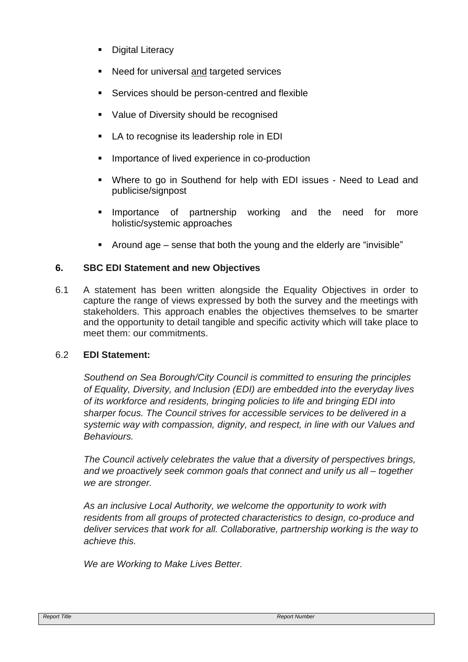- Digital Literacy
- Need for universal and targeted services
- Services should be person-centred and flexible
- Value of Diversity should be recognised
- LA to recognise its leadership role in EDI
- Importance of lived experience in co-production
- Where to go in Southend for help with EDI issues Need to Lead and publicise/signpost
- Importance of partnership working and the need for more holistic/systemic approaches
- Around age sense that both the young and the elderly are "invisible"

# **6. SBC EDI Statement and new Objectives**

6.1 A statement has been written alongside the Equality Objectives in order to capture the range of views expressed by both the survey and the meetings with stakeholders. This approach enables the objectives themselves to be smarter and the opportunity to detail tangible and specific activity which will take place to meet them: our commitments.

# 6.2 **EDI Statement:**

*Southend on Sea Borough/City Council is committed to ensuring the principles of Equality, Diversity, and Inclusion (EDI) are embedded into the everyday lives of its workforce and residents, bringing policies to life and bringing EDI into sharper focus. The Council strives for accessible services to be delivered in a systemic way with compassion, dignity, and respect, in line with our Values and Behaviours.*

*The Council actively celebrates the value that a diversity of perspectives brings, and we proactively seek common goals that connect and unify us all – together we are stronger.*

*As an inclusive Local Authority, we welcome the opportunity to work with residents from all groups of protected characteristics to design, co-produce and deliver services that work for all. Collaborative, partnership working is the way to achieve this.*

*We are Working to Make Lives Better.*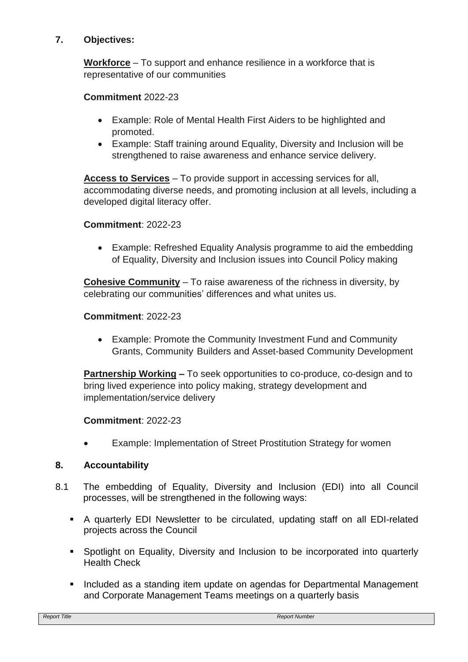# **7. Objectives:**

**Workforce** – To support and enhance resilience in a workforce that is representative of our communities

# **Commitment** 2022-23

- Example: Role of Mental Health First Aiders to be highlighted and promoted.
- Example: Staff training around Equality, Diversity and Inclusion will be strengthened to raise awareness and enhance service delivery.

**Access to Services** – To provide support in accessing services for all, accommodating diverse needs, and promoting inclusion at all levels, including a developed digital literacy offer.

# **Commitment**: 2022-23

 Example: Refreshed Equality Analysis programme to aid the embedding of Equality, Diversity and Inclusion issues into Council Policy making

**Cohesive Community** – To raise awareness of the richness in diversity, by celebrating our communities' differences and what unites us.

# **Commitment**: 2022-23

 Example: Promote the Community Investment Fund and Community Grants, Community Builders and Asset-based Community Development

**Partnership Working –** To seek opportunities to co-produce, co-design and to bring lived experience into policy making, strategy development and implementation/service delivery

# **Commitment**: 2022-23

Example: Implementation of Street Prostitution Strategy for women

# **8. Accountability**

- 8.1 The embedding of Equality, Diversity and Inclusion (EDI) into all Council processes, will be strengthened in the following ways:
	- A quarterly EDI Newsletter to be circulated, updating staff on all EDI-related projects across the Council
	- Spotlight on Equality, Diversity and Inclusion to be incorporated into quarterly Health Check
	- **Included as a standing item update on agendas for Departmental Management** and Corporate Management Teams meetings on a quarterly basis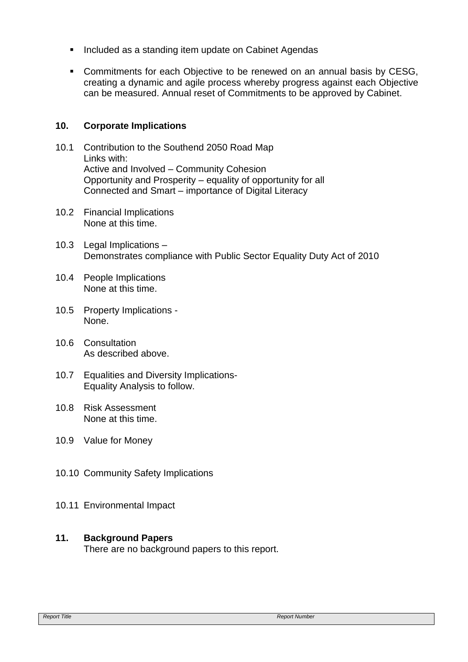- **Included as a standing item update on Cabinet Agendas**
- **Commitments for each Objective to be renewed on an annual basis by CESG,** creating a dynamic and agile process whereby progress against each Objective can be measured. Annual reset of Commitments to be approved by Cabinet.

# **10. Corporate Implications**

- 10.1 Contribution to the Southend 2050 Road Map Links with: Active and Involved – Community Cohesion Opportunity and Prosperity – equality of opportunity for all Connected and Smart – importance of Digital Literacy
- 10.2 Financial Implications None at this time.
- 10.3 Legal Implications Demonstrates compliance with Public Sector Equality Duty Act of 2010
- 10.4 People Implications None at this time.
- 10.5 Property Implications None.
- 10.6 Consultation As described above.
- 10.7 Equalities and Diversity Implications-Equality Analysis to follow.
- 10.8 Risk Assessment None at this time.
- 10.9 Value for Money
- 10.10 Community Safety Implications
- 10.11 Environmental Impact

# **11. Background Papers**

There are no background papers to this report.